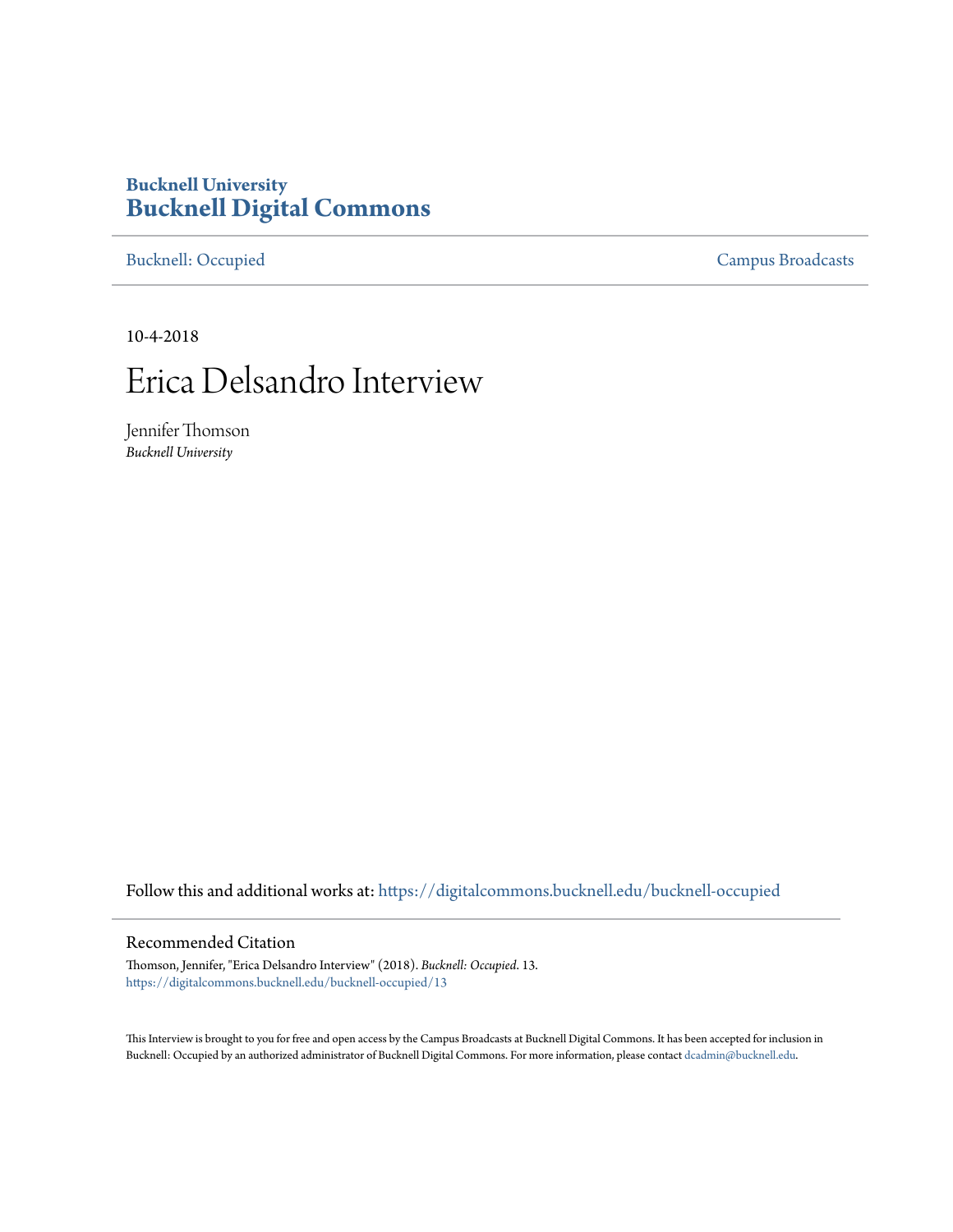## **Bucknell University [Bucknell Digital Commons](https://digitalcommons.bucknell.edu?utm_source=digitalcommons.bucknell.edu%2Fbucknell-occupied%2F13&utm_medium=PDF&utm_campaign=PDFCoverPages)**

[Bucknell: Occupied](https://digitalcommons.bucknell.edu/bucknell-occupied?utm_source=digitalcommons.bucknell.edu%2Fbucknell-occupied%2F13&utm_medium=PDF&utm_campaign=PDFCoverPages) [Campus Broadcasts](https://digitalcommons.bucknell.edu/campus-broadcasts?utm_source=digitalcommons.bucknell.edu%2Fbucknell-occupied%2F13&utm_medium=PDF&utm_campaign=PDFCoverPages)

10-4-2018

## Erica Delsandro Interview

Jennifer Thomson *Bucknell University*

Follow this and additional works at: [https://digitalcommons.bucknell.edu/bucknell-occupied](https://digitalcommons.bucknell.edu/bucknell-occupied?utm_source=digitalcommons.bucknell.edu%2Fbucknell-occupied%2F13&utm_medium=PDF&utm_campaign=PDFCoverPages)

## Recommended Citation

Thomson, Jennifer, "Erica Delsandro Interview" (2018). *Bucknell: Occupied*. 13. [https://digitalcommons.bucknell.edu/bucknell-occupied/13](https://digitalcommons.bucknell.edu/bucknell-occupied/13?utm_source=digitalcommons.bucknell.edu%2Fbucknell-occupied%2F13&utm_medium=PDF&utm_campaign=PDFCoverPages)

This Interview is brought to you for free and open access by the Campus Broadcasts at Bucknell Digital Commons. It has been accepted for inclusion in Bucknell: Occupied by an authorized administrator of Bucknell Digital Commons. For more information, please contact [dcadmin@bucknell.edu](mailto:dcadmin@bucknell.edu).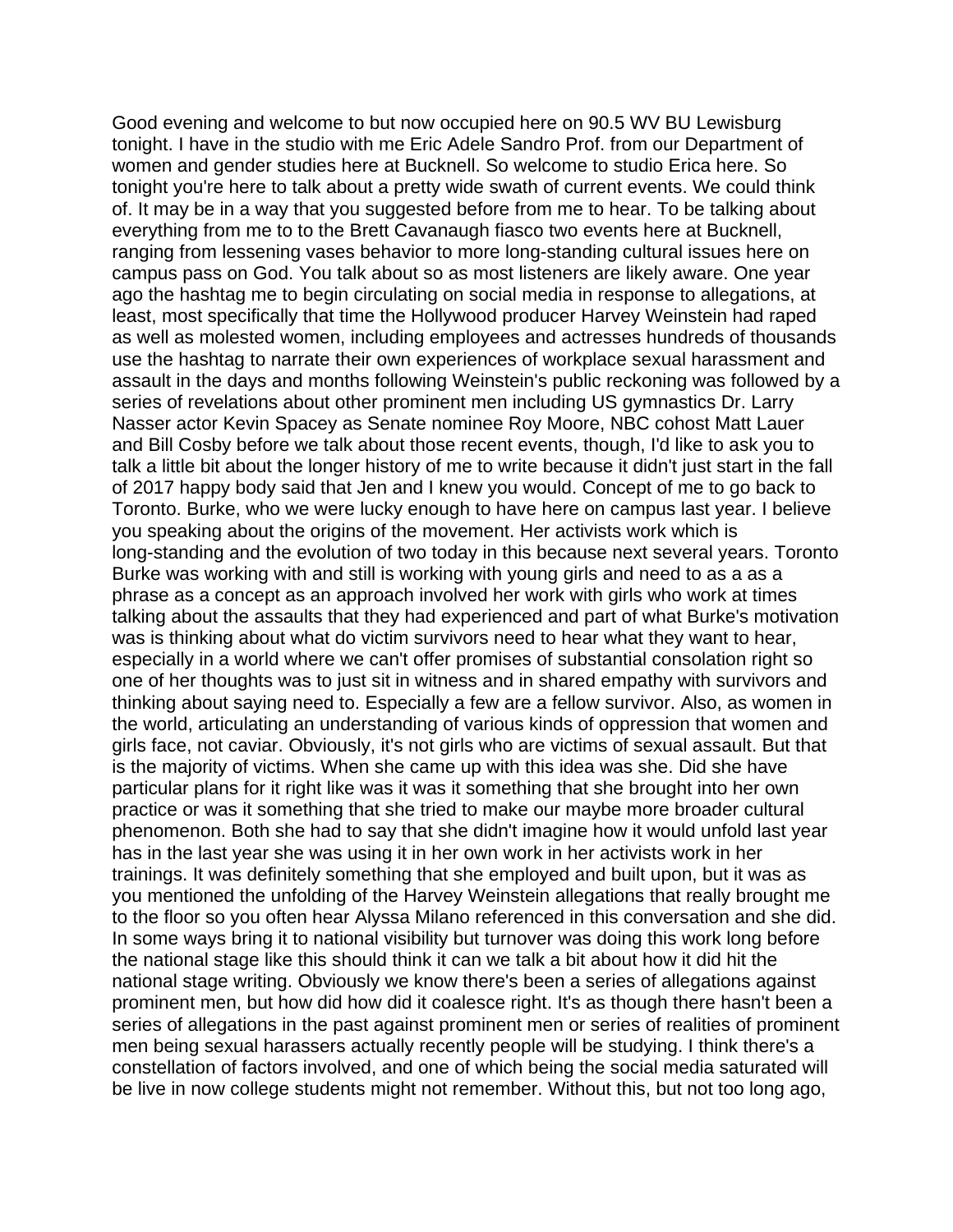Good evening and welcome to but now occupied here on 90.5 WV BU Lewisburg tonight. I have in the studio with me Eric Adele Sandro Prof. from our Department of women and gender studies here at Bucknell. So welcome to studio Erica here. So tonight you're here to talk about a pretty wide swath of current events. We could think of. It may be in a way that you suggested before from me to hear. To be talking about everything from me to to the Brett Cavanaugh fiasco two events here at Bucknell, ranging from lessening vases behavior to more long-standing cultural issues here on campus pass on God. You talk about so as most listeners are likely aware. One year ago the hashtag me to begin circulating on social media in response to allegations, at least, most specifically that time the Hollywood producer Harvey Weinstein had raped as well as molested women, including employees and actresses hundreds of thousands use the hashtag to narrate their own experiences of workplace sexual harassment and assault in the days and months following Weinstein's public reckoning was followed by a series of revelations about other prominent men including US gymnastics Dr. Larry Nasser actor Kevin Spacey as Senate nominee Roy Moore, NBC cohost Matt Lauer and Bill Cosby before we talk about those recent events, though, I'd like to ask you to talk a little bit about the longer history of me to write because it didn't just start in the fall of 2017 happy body said that Jen and I knew you would. Concept of me to go back to Toronto. Burke, who we were lucky enough to have here on campus last year. I believe you speaking about the origins of the movement. Her activists work which is long-standing and the evolution of two today in this because next several years. Toronto Burke was working with and still is working with young girls and need to as a as a phrase as a concept as an approach involved her work with girls who work at times talking about the assaults that they had experienced and part of what Burke's motivation was is thinking about what do victim survivors need to hear what they want to hear, especially in a world where we can't offer promises of substantial consolation right so one of her thoughts was to just sit in witness and in shared empathy with survivors and thinking about saying need to. Especially a few are a fellow survivor. Also, as women in the world, articulating an understanding of various kinds of oppression that women and girls face, not caviar. Obviously, it's not girls who are victims of sexual assault. But that is the majority of victims. When she came up with this idea was she. Did she have particular plans for it right like was it was it something that she brought into her own practice or was it something that she tried to make our maybe more broader cultural phenomenon. Both she had to say that she didn't imagine how it would unfold last year has in the last year she was using it in her own work in her activists work in her trainings. It was definitely something that she employed and built upon, but it was as you mentioned the unfolding of the Harvey Weinstein allegations that really brought me to the floor so you often hear Alyssa Milano referenced in this conversation and she did. In some ways bring it to national visibility but turnover was doing this work long before the national stage like this should think it can we talk a bit about how it did hit the national stage writing. Obviously we know there's been a series of allegations against prominent men, but how did how did it coalesce right. It's as though there hasn't been a series of allegations in the past against prominent men or series of realities of prominent men being sexual harassers actually recently people will be studying. I think there's a constellation of factors involved, and one of which being the social media saturated will be live in now college students might not remember. Without this, but not too long ago,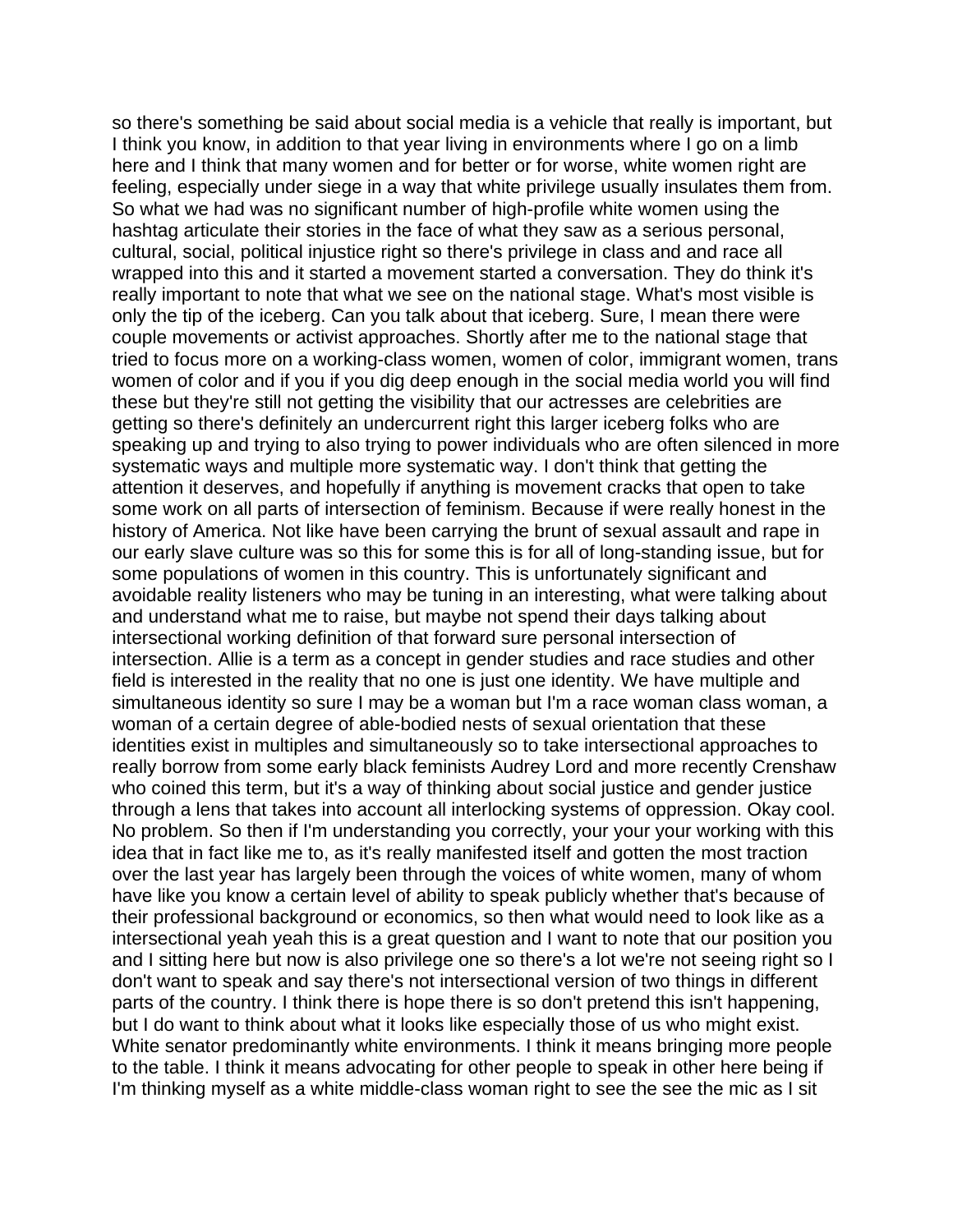so there's something be said about social media is a vehicle that really is important, but I think you know, in addition to that year living in environments where I go on a limb here and I think that many women and for better or for worse, white women right are feeling, especially under siege in a way that white privilege usually insulates them from. So what we had was no significant number of high-profile white women using the hashtag articulate their stories in the face of what they saw as a serious personal, cultural, social, political injustice right so there's privilege in class and and race all wrapped into this and it started a movement started a conversation. They do think it's really important to note that what we see on the national stage. What's most visible is only the tip of the iceberg. Can you talk about that iceberg. Sure, I mean there were couple movements or activist approaches. Shortly after me to the national stage that tried to focus more on a working-class women, women of color, immigrant women, trans women of color and if you if you dig deep enough in the social media world you will find these but they're still not getting the visibility that our actresses are celebrities are getting so there's definitely an undercurrent right this larger iceberg folks who are speaking up and trying to also trying to power individuals who are often silenced in more systematic ways and multiple more systematic way. I don't think that getting the attention it deserves, and hopefully if anything is movement cracks that open to take some work on all parts of intersection of feminism. Because if were really honest in the history of America. Not like have been carrying the brunt of sexual assault and rape in our early slave culture was so this for some this is for all of long-standing issue, but for some populations of women in this country. This is unfortunately significant and avoidable reality listeners who may be tuning in an interesting, what were talking about and understand what me to raise, but maybe not spend their days talking about intersectional working definition of that forward sure personal intersection of intersection. Allie is a term as a concept in gender studies and race studies and other field is interested in the reality that no one is just one identity. We have multiple and simultaneous identity so sure I may be a woman but I'm a race woman class woman, a woman of a certain degree of able-bodied nests of sexual orientation that these identities exist in multiples and simultaneously so to take intersectional approaches to really borrow from some early black feminists Audrey Lord and more recently Crenshaw who coined this term, but it's a way of thinking about social justice and gender justice through a lens that takes into account all interlocking systems of oppression. Okay cool. No problem. So then if I'm understanding you correctly, your your your working with this idea that in fact like me to, as it's really manifested itself and gotten the most traction over the last year has largely been through the voices of white women, many of whom have like you know a certain level of ability to speak publicly whether that's because of their professional background or economics, so then what would need to look like as a intersectional yeah yeah this is a great question and I want to note that our position you and I sitting here but now is also privilege one so there's a lot we're not seeing right so I don't want to speak and say there's not intersectional version of two things in different parts of the country. I think there is hope there is so don't pretend this isn't happening, but I do want to think about what it looks like especially those of us who might exist. White senator predominantly white environments. I think it means bringing more people to the table. I think it means advocating for other people to speak in other here being if I'm thinking myself as a white middle-class woman right to see the see the mic as I sit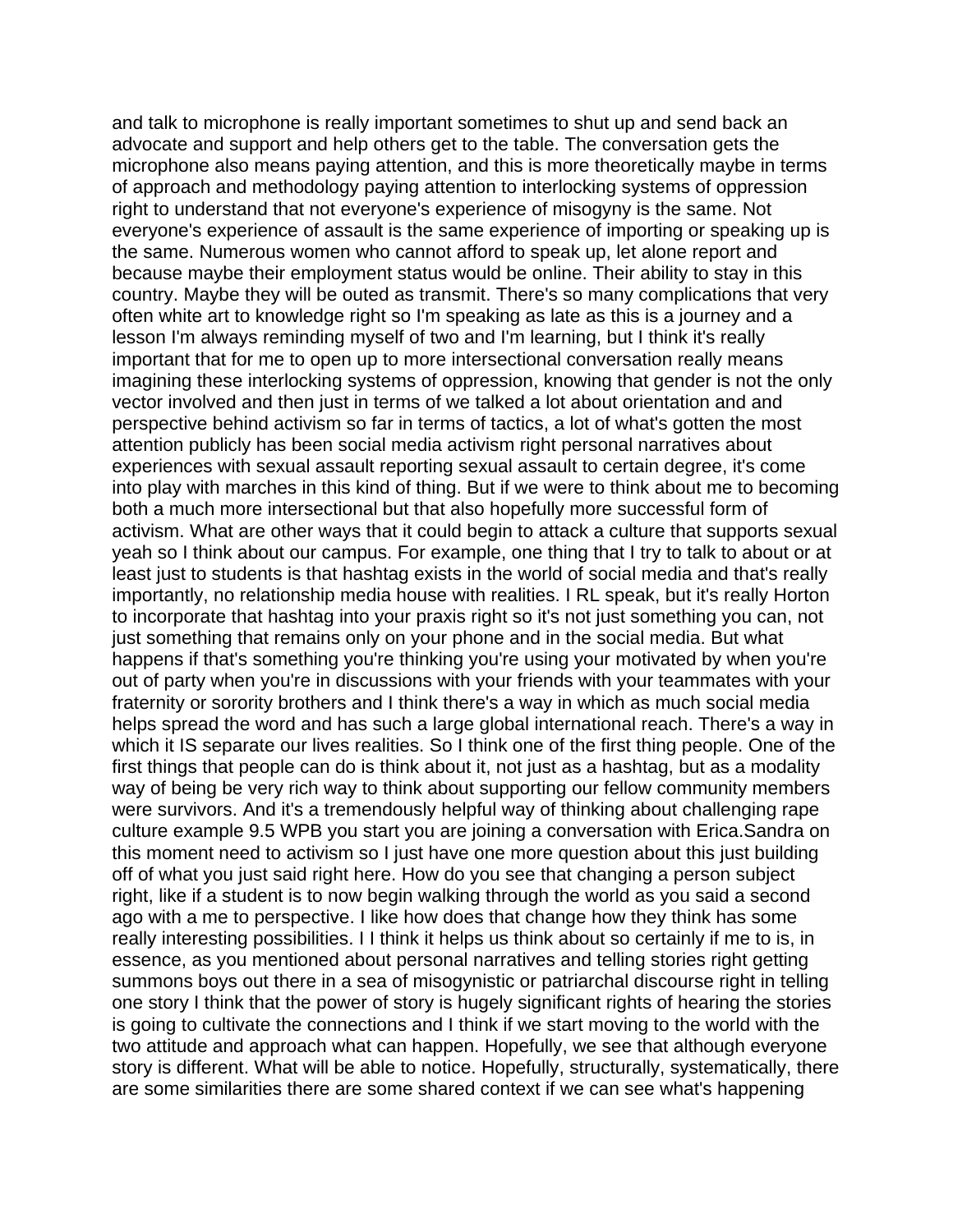and talk to microphone is really important sometimes to shut up and send back an advocate and support and help others get to the table. The conversation gets the microphone also means paying attention, and this is more theoretically maybe in terms of approach and methodology paying attention to interlocking systems of oppression right to understand that not everyone's experience of misogyny is the same. Not everyone's experience of assault is the same experience of importing or speaking up is the same. Numerous women who cannot afford to speak up, let alone report and because maybe their employment status would be online. Their ability to stay in this country. Maybe they will be outed as transmit. There's so many complications that very often white art to knowledge right so I'm speaking as late as this is a journey and a lesson I'm always reminding myself of two and I'm learning, but I think it's really important that for me to open up to more intersectional conversation really means imagining these interlocking systems of oppression, knowing that gender is not the only vector involved and then just in terms of we talked a lot about orientation and and perspective behind activism so far in terms of tactics, a lot of what's gotten the most attention publicly has been social media activism right personal narratives about experiences with sexual assault reporting sexual assault to certain degree, it's come into play with marches in this kind of thing. But if we were to think about me to becoming both a much more intersectional but that also hopefully more successful form of activism. What are other ways that it could begin to attack a culture that supports sexual yeah so I think about our campus. For example, one thing that I try to talk to about or at least just to students is that hashtag exists in the world of social media and that's really importantly, no relationship media house with realities. I RL speak, but it's really Horton to incorporate that hashtag into your praxis right so it's not just something you can, not just something that remains only on your phone and in the social media. But what happens if that's something you're thinking you're using your motivated by when you're out of party when you're in discussions with your friends with your teammates with your fraternity or sorority brothers and I think there's a way in which as much social media helps spread the word and has such a large global international reach. There's a way in which it IS separate our lives realities. So I think one of the first thing people. One of the first things that people can do is think about it, not just as a hashtag, but as a modality way of being be very rich way to think about supporting our fellow community members were survivors. And it's a tremendously helpful way of thinking about challenging rape culture example 9.5 WPB you start you are joining a conversation with Erica.Sandra on this moment need to activism so I just have one more question about this just building off of what you just said right here. How do you see that changing a person subject right, like if a student is to now begin walking through the world as you said a second ago with a me to perspective. I like how does that change how they think has some really interesting possibilities. I I think it helps us think about so certainly if me to is, in essence, as you mentioned about personal narratives and telling stories right getting summons boys out there in a sea of misogynistic or patriarchal discourse right in telling one story I think that the power of story is hugely significant rights of hearing the stories is going to cultivate the connections and I think if we start moving to the world with the two attitude and approach what can happen. Hopefully, we see that although everyone story is different. What will be able to notice. Hopefully, structurally, systematically, there are some similarities there are some shared context if we can see what's happening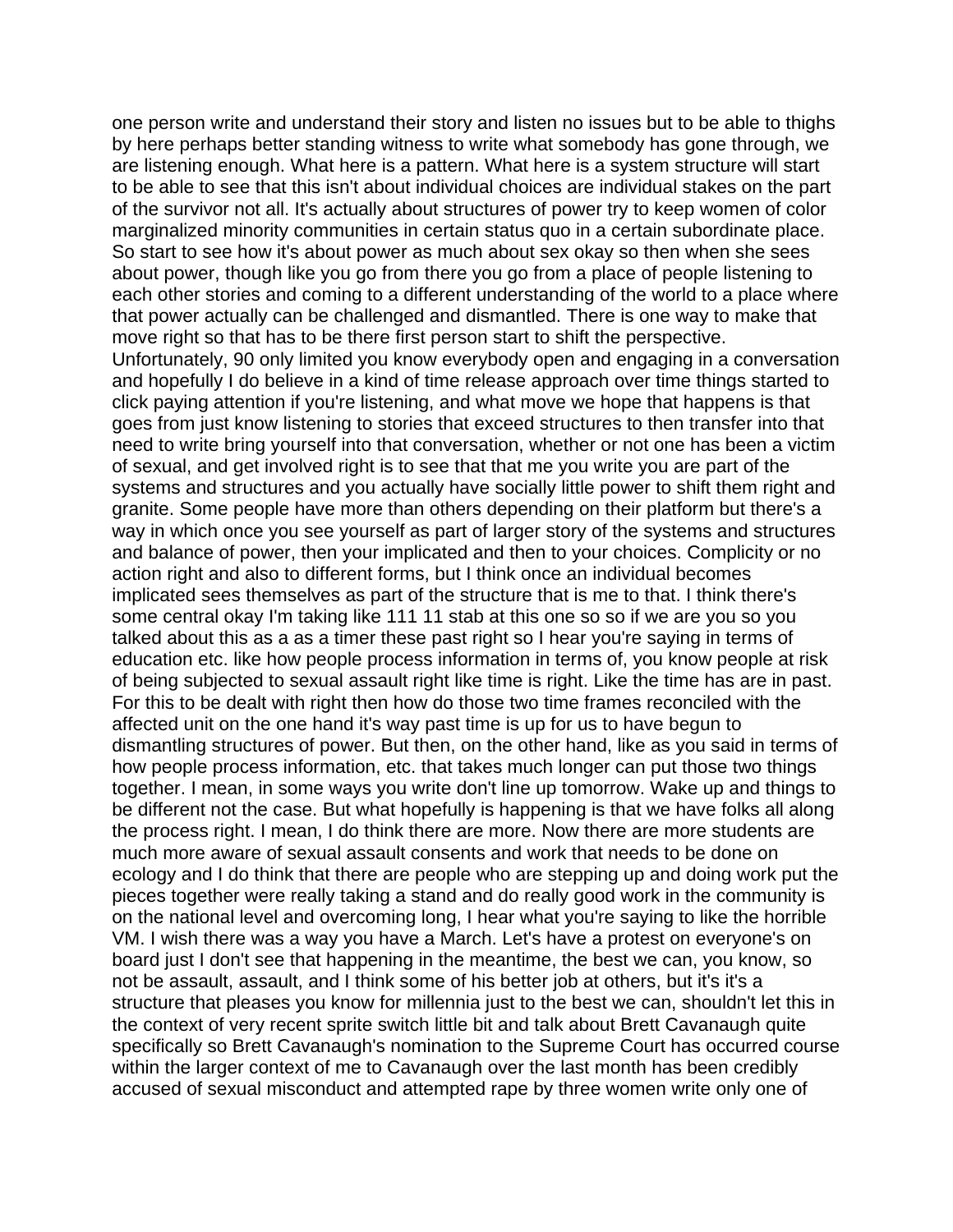one person write and understand their story and listen no issues but to be able to thighs by here perhaps better standing witness to write what somebody has gone through, we are listening enough. What here is a pattern. What here is a system structure will start to be able to see that this isn't about individual choices are individual stakes on the part of the survivor not all. It's actually about structures of power try to keep women of color marginalized minority communities in certain status quo in a certain subordinate place. So start to see how it's about power as much about sex okay so then when she sees about power, though like you go from there you go from a place of people listening to each other stories and coming to a different understanding of the world to a place where that power actually can be challenged and dismantled. There is one way to make that move right so that has to be there first person start to shift the perspective. Unfortunately, 90 only limited you know everybody open and engaging in a conversation and hopefully I do believe in a kind of time release approach over time things started to click paying attention if you're listening, and what move we hope that happens is that goes from just know listening to stories that exceed structures to then transfer into that need to write bring yourself into that conversation, whether or not one has been a victim of sexual, and get involved right is to see that that me you write you are part of the systems and structures and you actually have socially little power to shift them right and granite. Some people have more than others depending on their platform but there's a way in which once you see yourself as part of larger story of the systems and structures and balance of power, then your implicated and then to your choices. Complicity or no action right and also to different forms, but I think once an individual becomes implicated sees themselves as part of the structure that is me to that. I think there's some central okay I'm taking like 111 11 stab at this one so so if we are you so you talked about this as a as a timer these past right so I hear you're saying in terms of education etc. like how people process information in terms of, you know people at risk of being subjected to sexual assault right like time is right. Like the time has are in past. For this to be dealt with right then how do those two time frames reconciled with the affected unit on the one hand it's way past time is up for us to have begun to dismantling structures of power. But then, on the other hand, like as you said in terms of how people process information, etc. that takes much longer can put those two things together. I mean, in some ways you write don't line up tomorrow. Wake up and things to be different not the case. But what hopefully is happening is that we have folks all along the process right. I mean, I do think there are more. Now there are more students are much more aware of sexual assault consents and work that needs to be done on ecology and I do think that there are people who are stepping up and doing work put the pieces together were really taking a stand and do really good work in the community is on the national level and overcoming long, I hear what you're saying to like the horrible VM. I wish there was a way you have a March. Let's have a protest on everyone's on board just I don't see that happening in the meantime, the best we can, you know, so not be assault, assault, and I think some of his better job at others, but it's it's a structure that pleases you know for millennia just to the best we can, shouldn't let this in the context of very recent sprite switch little bit and talk about Brett Cavanaugh quite specifically so Brett Cavanaugh's nomination to the Supreme Court has occurred course within the larger context of me to Cavanaugh over the last month has been credibly accused of sexual misconduct and attempted rape by three women write only one of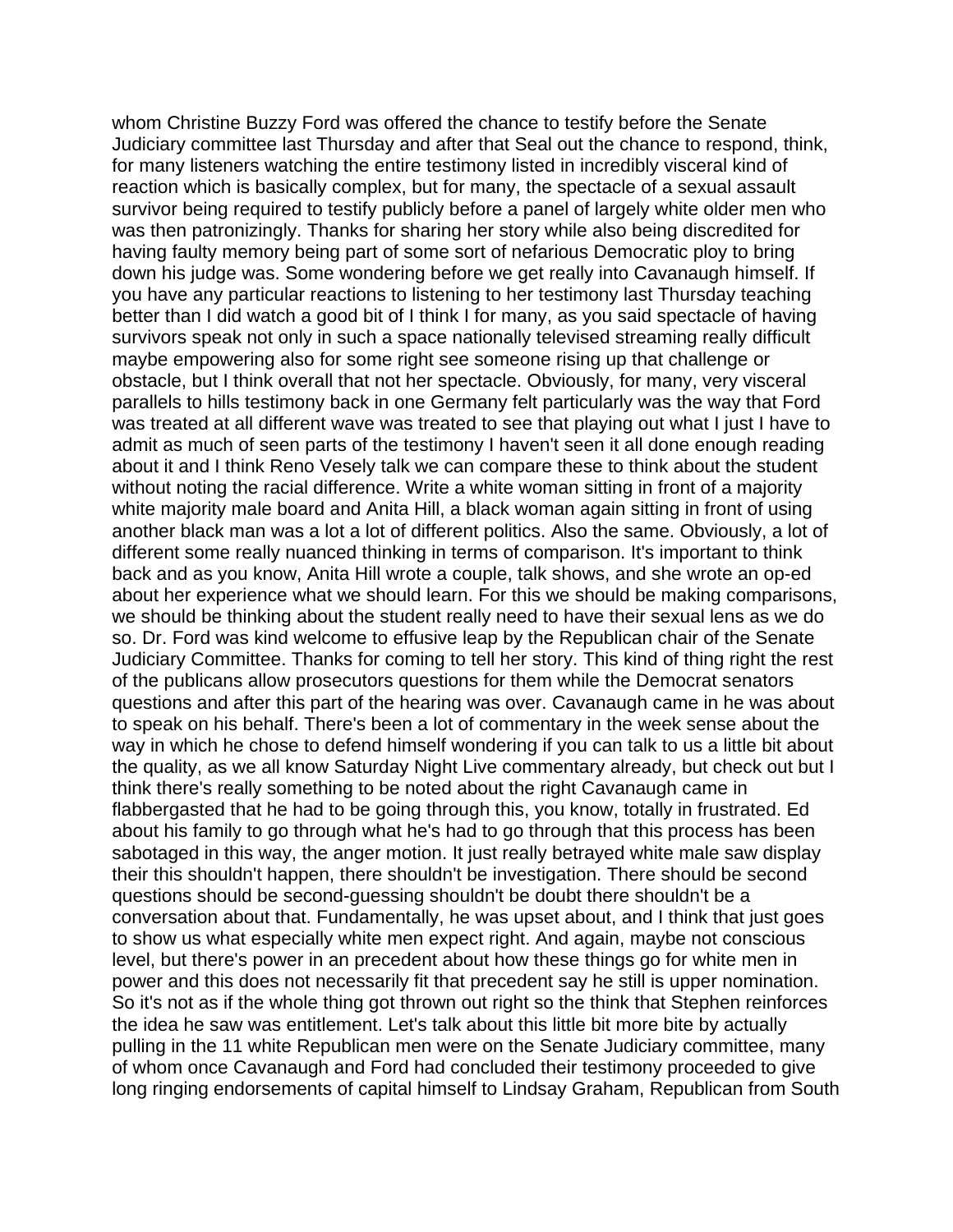whom Christine Buzzy Ford was offered the chance to testify before the Senate Judiciary committee last Thursday and after that Seal out the chance to respond, think, for many listeners watching the entire testimony listed in incredibly visceral kind of reaction which is basically complex, but for many, the spectacle of a sexual assault survivor being required to testify publicly before a panel of largely white older men who was then patronizingly. Thanks for sharing her story while also being discredited for having faulty memory being part of some sort of nefarious Democratic ploy to bring down his judge was. Some wondering before we get really into Cavanaugh himself. If you have any particular reactions to listening to her testimony last Thursday teaching better than I did watch a good bit of I think I for many, as you said spectacle of having survivors speak not only in such a space nationally televised streaming really difficult maybe empowering also for some right see someone rising up that challenge or obstacle, but I think overall that not her spectacle. Obviously, for many, very visceral parallels to hills testimony back in one Germany felt particularly was the way that Ford was treated at all different wave was treated to see that playing out what I just I have to admit as much of seen parts of the testimony I haven't seen it all done enough reading about it and I think Reno Vesely talk we can compare these to think about the student without noting the racial difference. Write a white woman sitting in front of a majority white majority male board and Anita Hill, a black woman again sitting in front of using another black man was a lot a lot of different politics. Also the same. Obviously, a lot of different some really nuanced thinking in terms of comparison. It's important to think back and as you know, Anita Hill wrote a couple, talk shows, and she wrote an op-ed about her experience what we should learn. For this we should be making comparisons, we should be thinking about the student really need to have their sexual lens as we do so. Dr. Ford was kind welcome to effusive leap by the Republican chair of the Senate Judiciary Committee. Thanks for coming to tell her story. This kind of thing right the rest of the publicans allow prosecutors questions for them while the Democrat senators questions and after this part of the hearing was over. Cavanaugh came in he was about to speak on his behalf. There's been a lot of commentary in the week sense about the way in which he chose to defend himself wondering if you can talk to us a little bit about the quality, as we all know Saturday Night Live commentary already, but check out but I think there's really something to be noted about the right Cavanaugh came in flabbergasted that he had to be going through this, you know, totally in frustrated. Ed about his family to go through what he's had to go through that this process has been sabotaged in this way, the anger motion. It just really betrayed white male saw display their this shouldn't happen, there shouldn't be investigation. There should be second questions should be second-guessing shouldn't be doubt there shouldn't be a conversation about that. Fundamentally, he was upset about, and I think that just goes to show us what especially white men expect right. And again, maybe not conscious level, but there's power in an precedent about how these things go for white men in power and this does not necessarily fit that precedent say he still is upper nomination. So it's not as if the whole thing got thrown out right so the think that Stephen reinforces the idea he saw was entitlement. Let's talk about this little bit more bite by actually pulling in the 11 white Republican men were on the Senate Judiciary committee, many of whom once Cavanaugh and Ford had concluded their testimony proceeded to give long ringing endorsements of capital himself to Lindsay Graham, Republican from South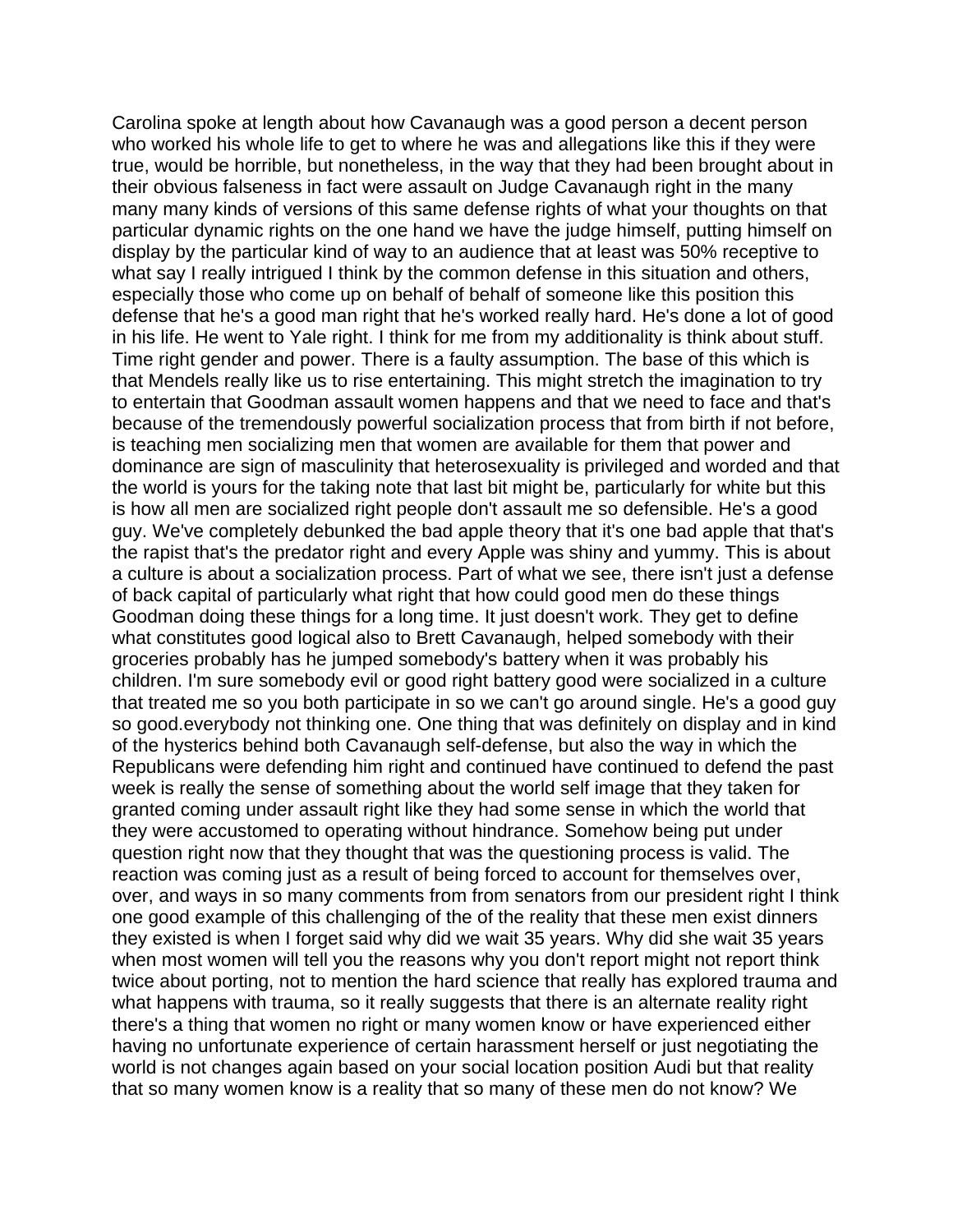Carolina spoke at length about how Cavanaugh was a good person a decent person who worked his whole life to get to where he was and allegations like this if they were true, would be horrible, but nonetheless, in the way that they had been brought about in their obvious falseness in fact were assault on Judge Cavanaugh right in the many many many kinds of versions of this same defense rights of what your thoughts on that particular dynamic rights on the one hand we have the judge himself, putting himself on display by the particular kind of way to an audience that at least was 50% receptive to what say I really intrigued I think by the common defense in this situation and others, especially those who come up on behalf of behalf of someone like this position this defense that he's a good man right that he's worked really hard. He's done a lot of good in his life. He went to Yale right. I think for me from my additionality is think about stuff. Time right gender and power. There is a faulty assumption. The base of this which is that Mendels really like us to rise entertaining. This might stretch the imagination to try to entertain that Goodman assault women happens and that we need to face and that's because of the tremendously powerful socialization process that from birth if not before, is teaching men socializing men that women are available for them that power and dominance are sign of masculinity that heterosexuality is privileged and worded and that the world is yours for the taking note that last bit might be, particularly for white but this is how all men are socialized right people don't assault me so defensible. He's a good guy. We've completely debunked the bad apple theory that it's one bad apple that that's the rapist that's the predator right and every Apple was shiny and yummy. This is about a culture is about a socialization process. Part of what we see, there isn't just a defense of back capital of particularly what right that how could good men do these things Goodman doing these things for a long time. It just doesn't work. They get to define what constitutes good logical also to Brett Cavanaugh, helped somebody with their groceries probably has he jumped somebody's battery when it was probably his children. I'm sure somebody evil or good right battery good were socialized in a culture that treated me so you both participate in so we can't go around single. He's a good guy so good.everybody not thinking one. One thing that was definitely on display and in kind of the hysterics behind both Cavanaugh self-defense, but also the way in which the Republicans were defending him right and continued have continued to defend the past week is really the sense of something about the world self image that they taken for granted coming under assault right like they had some sense in which the world that they were accustomed to operating without hindrance. Somehow being put under question right now that they thought that was the questioning process is valid. The reaction was coming just as a result of being forced to account for themselves over, over, and ways in so many comments from from senators from our president right I think one good example of this challenging of the of the reality that these men exist dinners they existed is when I forget said why did we wait 35 years. Why did she wait 35 years when most women will tell you the reasons why you don't report might not report think twice about porting, not to mention the hard science that really has explored trauma and what happens with trauma, so it really suggests that there is an alternate reality right there's a thing that women no right or many women know or have experienced either having no unfortunate experience of certain harassment herself or just negotiating the world is not changes again based on your social location position Audi but that reality that so many women know is a reality that so many of these men do not know? We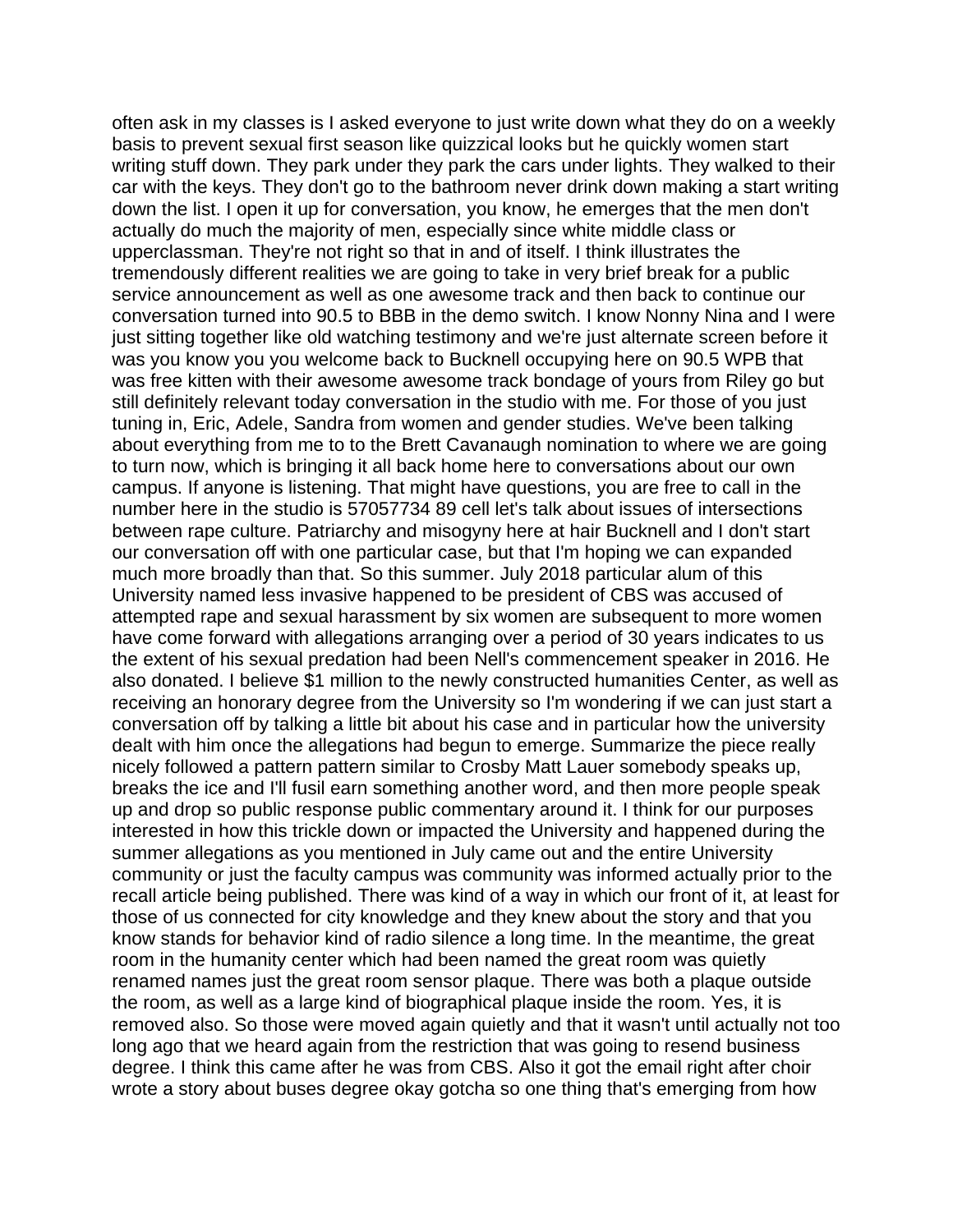often ask in my classes is I asked everyone to just write down what they do on a weekly basis to prevent sexual first season like quizzical looks but he quickly women start writing stuff down. They park under they park the cars under lights. They walked to their car with the keys. They don't go to the bathroom never drink down making a start writing down the list. I open it up for conversation, you know, he emerges that the men don't actually do much the majority of men, especially since white middle class or upperclassman. They're not right so that in and of itself. I think illustrates the tremendously different realities we are going to take in very brief break for a public service announcement as well as one awesome track and then back to continue our conversation turned into 90.5 to BBB in the demo switch. I know Nonny Nina and I were just sitting together like old watching testimony and we're just alternate screen before it was you know you you welcome back to Bucknell occupying here on 90.5 WPB that was free kitten with their awesome awesome track bondage of yours from Riley go but still definitely relevant today conversation in the studio with me. For those of you just tuning in, Eric, Adele, Sandra from women and gender studies. We've been talking about everything from me to to the Brett Cavanaugh nomination to where we are going to turn now, which is bringing it all back home here to conversations about our own campus. If anyone is listening. That might have questions, you are free to call in the number here in the studio is 57057734 89 cell let's talk about issues of intersections between rape culture. Patriarchy and misogyny here at hair Bucknell and I don't start our conversation off with one particular case, but that I'm hoping we can expanded much more broadly than that. So this summer. July 2018 particular alum of this University named less invasive happened to be president of CBS was accused of attempted rape and sexual harassment by six women are subsequent to more women have come forward with allegations arranging over a period of 30 years indicates to us the extent of his sexual predation had been Nell's commencement speaker in 2016. He also donated. I believe \$1 million to the newly constructed humanities Center, as well as receiving an honorary degree from the University so I'm wondering if we can just start a conversation off by talking a little bit about his case and in particular how the university dealt with him once the allegations had begun to emerge. Summarize the piece really nicely followed a pattern pattern similar to Crosby Matt Lauer somebody speaks up, breaks the ice and I'll fusil earn something another word, and then more people speak up and drop so public response public commentary around it. I think for our purposes interested in how this trickle down or impacted the University and happened during the summer allegations as you mentioned in July came out and the entire University community or just the faculty campus was community was informed actually prior to the recall article being published. There was kind of a way in which our front of it, at least for those of us connected for city knowledge and they knew about the story and that you know stands for behavior kind of radio silence a long time. In the meantime, the great room in the humanity center which had been named the great room was quietly renamed names just the great room sensor plaque. There was both a plaque outside the room, as well as a large kind of biographical plaque inside the room. Yes, it is removed also. So those were moved again quietly and that it wasn't until actually not too long ago that we heard again from the restriction that was going to resend business degree. I think this came after he was from CBS. Also it got the email right after choir wrote a story about buses degree okay gotcha so one thing that's emerging from how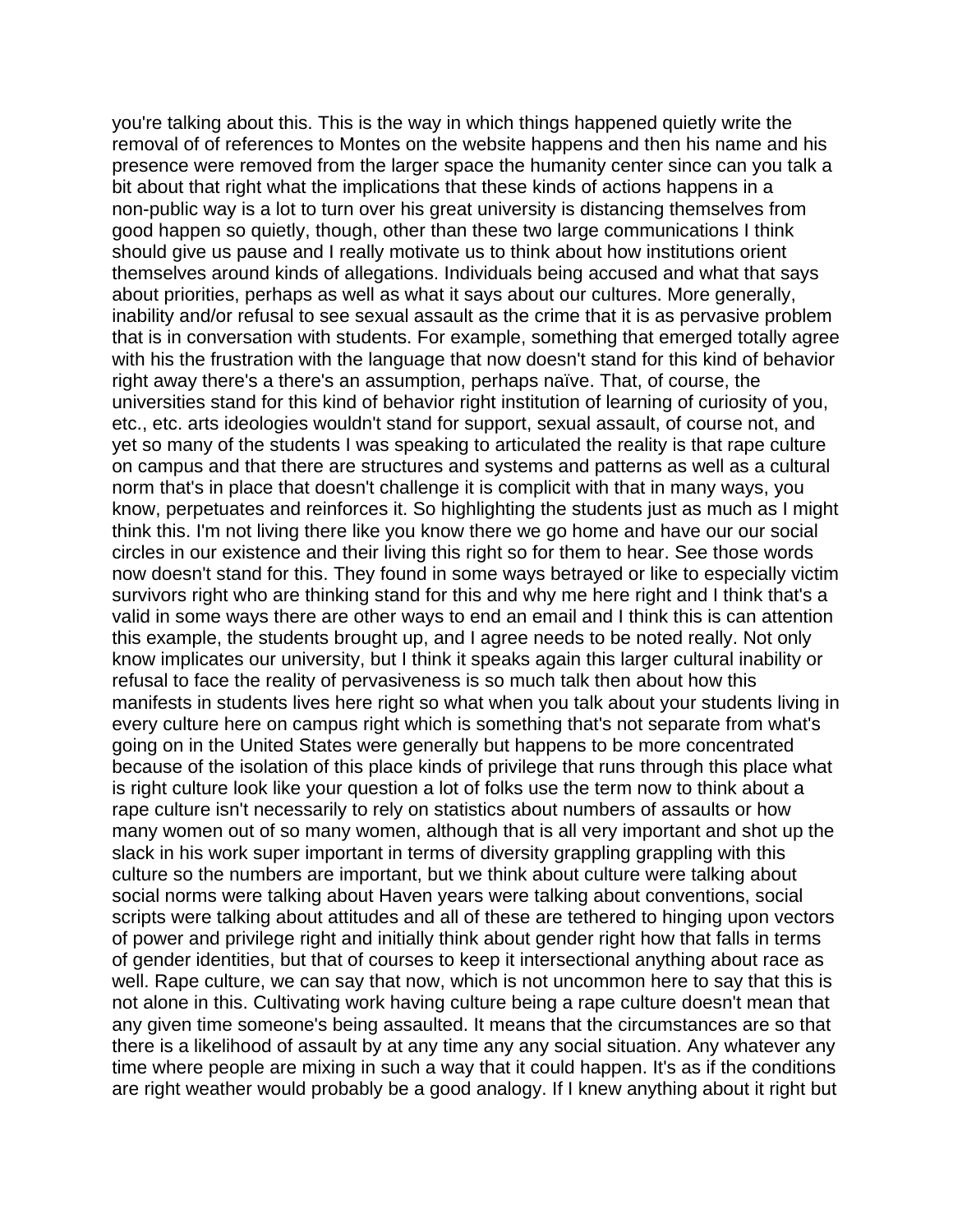you're talking about this. This is the way in which things happened quietly write the removal of of references to Montes on the website happens and then his name and his presence were removed from the larger space the humanity center since can you talk a bit about that right what the implications that these kinds of actions happens in a non-public way is a lot to turn over his great university is distancing themselves from good happen so quietly, though, other than these two large communications I think should give us pause and I really motivate us to think about how institutions orient themselves around kinds of allegations. Individuals being accused and what that says about priorities, perhaps as well as what it says about our cultures. More generally, inability and/or refusal to see sexual assault as the crime that it is as pervasive problem that is in conversation with students. For example, something that emerged totally agree with his the frustration with the language that now doesn't stand for this kind of behavior right away there's a there's an assumption, perhaps naïve. That, of course, the universities stand for this kind of behavior right institution of learning of curiosity of you, etc., etc. arts ideologies wouldn't stand for support, sexual assault, of course not, and yet so many of the students I was speaking to articulated the reality is that rape culture on campus and that there are structures and systems and patterns as well as a cultural norm that's in place that doesn't challenge it is complicit with that in many ways, you know, perpetuates and reinforces it. So highlighting the students just as much as I might think this. I'm not living there like you know there we go home and have our our social circles in our existence and their living this right so for them to hear. See those words now doesn't stand for this. They found in some ways betrayed or like to especially victim survivors right who are thinking stand for this and why me here right and I think that's a valid in some ways there are other ways to end an email and I think this is can attention this example, the students brought up, and I agree needs to be noted really. Not only know implicates our university, but I think it speaks again this larger cultural inability or refusal to face the reality of pervasiveness is so much talk then about how this manifests in students lives here right so what when you talk about your students living in every culture here on campus right which is something that's not separate from what's going on in the United States were generally but happens to be more concentrated because of the isolation of this place kinds of privilege that runs through this place what is right culture look like your question a lot of folks use the term now to think about a rape culture isn't necessarily to rely on statistics about numbers of assaults or how many women out of so many women, although that is all very important and shot up the slack in his work super important in terms of diversity grappling grappling with this culture so the numbers are important, but we think about culture were talking about social norms were talking about Haven years were talking about conventions, social scripts were talking about attitudes and all of these are tethered to hinging upon vectors of power and privilege right and initially think about gender right how that falls in terms of gender identities, but that of courses to keep it intersectional anything about race as well. Rape culture, we can say that now, which is not uncommon here to say that this is not alone in this. Cultivating work having culture being a rape culture doesn't mean that any given time someone's being assaulted. It means that the circumstances are so that there is a likelihood of assault by at any time any any social situation. Any whatever any time where people are mixing in such a way that it could happen. It's as if the conditions are right weather would probably be a good analogy. If I knew anything about it right but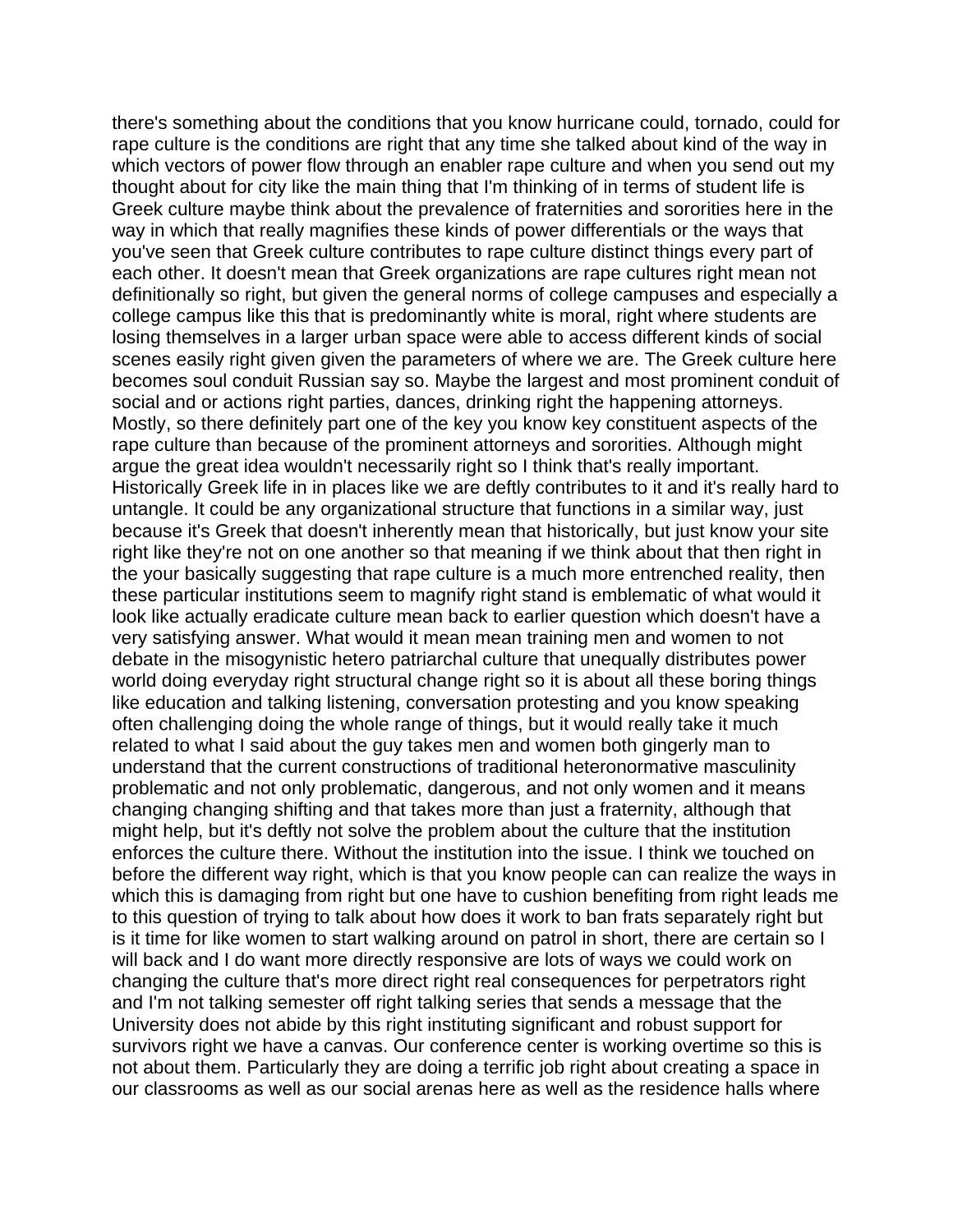there's something about the conditions that you know hurricane could, tornado, could for rape culture is the conditions are right that any time she talked about kind of the way in which vectors of power flow through an enabler rape culture and when you send out my thought about for city like the main thing that I'm thinking of in terms of student life is Greek culture maybe think about the prevalence of fraternities and sororities here in the way in which that really magnifies these kinds of power differentials or the ways that you've seen that Greek culture contributes to rape culture distinct things every part of each other. It doesn't mean that Greek organizations are rape cultures right mean not definitionally so right, but given the general norms of college campuses and especially a college campus like this that is predominantly white is moral, right where students are losing themselves in a larger urban space were able to access different kinds of social scenes easily right given given the parameters of where we are. The Greek culture here becomes soul conduit Russian say so. Maybe the largest and most prominent conduit of social and or actions right parties, dances, drinking right the happening attorneys. Mostly, so there definitely part one of the key you know key constituent aspects of the rape culture than because of the prominent attorneys and sororities. Although might argue the great idea wouldn't necessarily right so I think that's really important. Historically Greek life in in places like we are deftly contributes to it and it's really hard to untangle. It could be any organizational structure that functions in a similar way, just because it's Greek that doesn't inherently mean that historically, but just know your site right like they're not on one another so that meaning if we think about that then right in the your basically suggesting that rape culture is a much more entrenched reality, then these particular institutions seem to magnify right stand is emblematic of what would it look like actually eradicate culture mean back to earlier question which doesn't have a very satisfying answer. What would it mean mean training men and women to not debate in the misogynistic hetero patriarchal culture that unequally distributes power world doing everyday right structural change right so it is about all these boring things like education and talking listening, conversation protesting and you know speaking often challenging doing the whole range of things, but it would really take it much related to what I said about the guy takes men and women both gingerly man to understand that the current constructions of traditional heteronormative masculinity problematic and not only problematic, dangerous, and not only women and it means changing changing shifting and that takes more than just a fraternity, although that might help, but it's deftly not solve the problem about the culture that the institution enforces the culture there. Without the institution into the issue. I think we touched on before the different way right, which is that you know people can can realize the ways in which this is damaging from right but one have to cushion benefiting from right leads me to this question of trying to talk about how does it work to ban frats separately right but is it time for like women to start walking around on patrol in short, there are certain so I will back and I do want more directly responsive are lots of ways we could work on changing the culture that's more direct right real consequences for perpetrators right and I'm not talking semester off right talking series that sends a message that the University does not abide by this right instituting significant and robust support for survivors right we have a canvas. Our conference center is working overtime so this is not about them. Particularly they are doing a terrific job right about creating a space in our classrooms as well as our social arenas here as well as the residence halls where